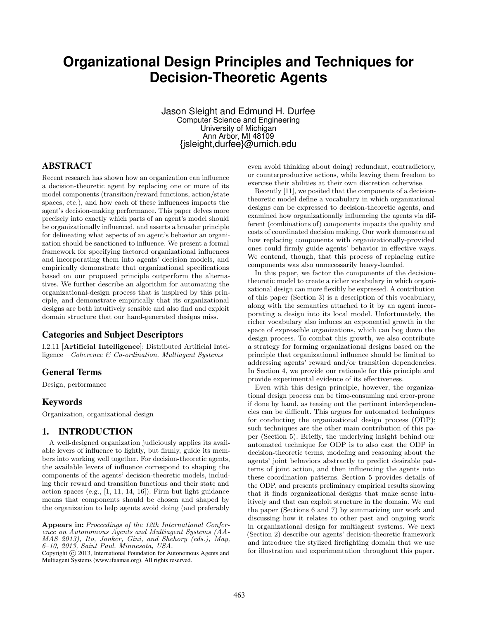# **Organizational Design Principles and Techniques for Decision-Theoretic Agents**

Jason Sleight and Edmund H. Durfee Computer Science and Engineering University of Michigan Ann Arbor, MI 48109 {jsleight,durfee}@umich.edu

# ABSTRACT

Recent research has shown how an organization can influence a decision-theoretic agent by replacing one or more of its model components (transition/reward functions, action/state spaces, etc.), and how each of these influences impacts the agent's decision-making performance. This paper delves more precisely into exactly which parts of an agent's model should be organizationally influenced, and asserts a broader principle for delineating what aspects of an agent's behavior an organization should be sanctioned to influence. We present a formal framework for specifying factored organizational influences and incorporating them into agents' decision models, and empirically demonstrate that organizational specifications based on our proposed principle outperform the alternatives. We further describe an algorithm for automating the organizational-design process that is inspired by this principle, and demonstrate empirically that its organizational designs are both intuitively sensible and also find and exploit domain structure that our hand-generated designs miss.

# Categories and Subject Descriptors

I.2.11 [Artificial Intelligence]: Distributed Artificial Intelligence—Coherence & Co-ordination, Multiagent Systems

### General Terms

Design, performance

#### Keywords

Organization, organizational design

## 1. INTRODUCTION

A well-designed organization judiciously applies its available levers of influence to lightly, but firmly, guide its members into working well together. For decision-theoretic agents, the available levers of influence correspond to shaping the components of the agents' decision-theoretic models, including their reward and transition functions and their state and action spaces (e.g.,  $[1, 11, 14, 16]$ ). Firm but light guidance means that components should be chosen and shaped by the organization to help agents avoid doing (and preferably

Appears in: Proceedings of the 12th International Conference on Autonomous Agents and Multiagent Systems (AA-MAS 2013), Ito, Jonker, Gini, and Shehory (eds.), May, 6–10, 2013, Saint Paul, Minnesota, USA.

Copyright (C) 2013, International Foundation for Autonomous Agents and Multiagent Systems (www.ifaamas.org). All rights reserved.

even avoid thinking about doing) redundant, contradictory, or counterproductive actions, while leaving them freedom to exercise their abilities at their own discretion otherwise.

Recently [11], we posited that the components of a decisiontheoretic model define a vocabulary in which organizational designs can be expressed to decision-theoretic agents, and examined how organizationally influencing the agents via different (combinations of) components impacts the quality and costs of coordinated decision making. Our work demonstrated how replacing components with organizationally-provided ones could firmly guide agents' behavior in effective ways. We contend, though, that this process of replacing entire components was also unnecessarily heavy-handed.

In this paper, we factor the components of the decisiontheoretic model to create a richer vocabulary in which organizational design can more flexibly be expressed. A contribution of this paper (Section 3) is a description of this vocabulary, along with the semantics attached to it by an agent incorporating a design into its local model. Unfortunately, the richer vocabulary also induces an exponential growth in the space of expressible organizations, which can bog down the design process. To combat this growth, we also contribute a strategy for forming organizational designs based on the principle that organizational influence should be limited to addressing agents' reward and/or transition dependencies. In Section 4, we provide our rationale for this principle and provide experimental evidence of its effectiveness.

Even with this design principle, however, the organizational design process can be time-consuming and error-prone if done by hand, as teasing out the pertinent interdependencies can be difficult. This argues for automated techniques for conducting the organizational design process (ODP); such techniques are the other main contribution of this paper (Section 5). Briefly, the underlying insight behind our automated technique for ODP is to also cast the ODP in decision-theoretic terms, modeling and reasoning about the agents' joint behaviors abstractly to predict desirable patterns of joint action, and then influencing the agents into these coordination patterns. Section 5 provides details of the ODP, and presents preliminary empirical results showing that it finds organizational designs that make sense intuitively and that can exploit structure in the domain. We end the paper (Sections 6 and 7) by summarizing our work and discussing how it relates to other past and ongoing work in organizational design for multiagent systems. We next (Section 2) describe our agents' decision-theoretic framework and introduce the stylized firefighting domain that we use for illustration and experimentation throughout this paper.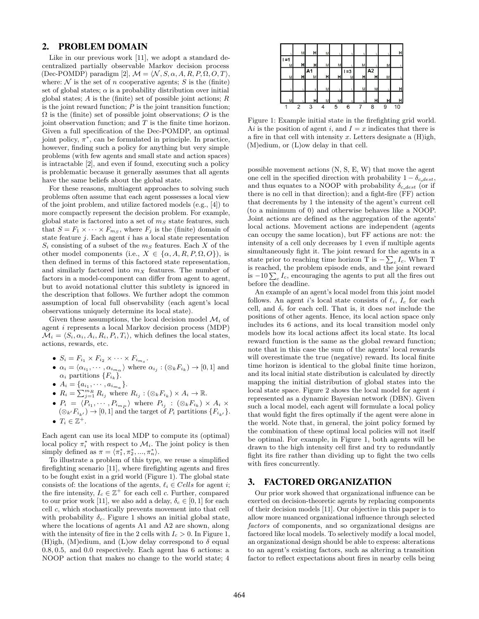#### 2. PROBLEM DOMAIN

Like in our previous work [11], we adopt a standard decentralized partially observable Markov decision process (Dec-POMDP) paradigm [2],  $\mathcal{M} = \langle \mathcal{N}, S, \alpha, A, R, P, \Omega, O, T \rangle$ , where:  $\mathcal N$  is the set of n cooperative agents; S is the (finite) set of global states;  $\alpha$  is a probability distribution over initial global states;  $A$  is the (finite) set of possible joint actions;  $R$ is the joint reward function;  $P$  is the joint transition function;  $\Omega$  is the (finite) set of possible joint observations; O is the joint observation function; and  $T$  is the finite time horizon. Given a full specification of the Dec-POMDP, an optimal joint policy,  $\pi^*$ , can be formulated in principle. In practice, however, finding such a policy for anything but very simple problems (with few agents and small state and action spaces) is intractable [2], and even if found, executing such a policy is problematic because it generally assumes that all agents have the same beliefs about the global state.

For these reasons, multiagent approaches to solving such problems often assume that each agent possesses a local view of the joint problem, and utilize factored models (e.g., [4]) to more compactly represent the decision problem. For example, global state is factored into a set of  $m<sub>S</sub>$  state features, such that  $S = F_1 \times \cdots \times F_{m_S}$ , where  $F_j$  is the (finite) domain of state feature  $j$ . Each agent  $i$  has a local state representation  $S_i$  consisting of a subset of the  $m<sub>S</sub>$  features. Each X of the other model components (i.e.,  $X \in \{\alpha, A, R, P, \Omega, O\}$ ), is then defined in terms of this factored state representation, and similarly factored into  $m<sub>X</sub>$  features. The number of factors in a model-component can differ from agent to agent, but to avoid notational clutter this subtlety is ignored in the description that follows. We further adopt the common assumption of local full observability (each agent's local observations uniquely determine its local state).

Given these assumptions, the local decision model  $\mathcal{M}_i$  of agent i represents a local Markov decision process (MDP)  $\mathcal{M}_i = \langle S_i, \alpha_i, A_i, R_i, P_i, T_i \rangle$ , which defines the local states, actions, rewards, etc.

- $S_i = F_{i_1} \times F_{i_2} \times \cdots \times F_{i_{m_s}}$ .
- $\alpha_i = \langle \alpha_{i_1}, \cdots, \alpha_{i_{m_\alpha}} \rangle$  where  $\alpha_{i_j} : (\otimes_k F_{i_k}) \to [0, 1]$  and  $\alpha_i$  partitions  $\{F_{i_k}\}.$
- $A_i = \{a_{i_1}, \cdots, a_{i_{m_a}}\}.$
- $R_i = \sum_{j=1}^{m_R} R_{i_j}$  where  $R_{i_j} : (\otimes_k F_{i_k}) \times A_i \to \mathbb{R}$ .
- $P_i = \langle P_{i_1}, \cdots, P_{i_{m_P}} \rangle$  where  $P_{i_j}$  :  $(\otimes_k F_{i_k}) \times A_i \times$  $(\otimes_{k'} F_{i_{k'}}) \rightarrow [0, 1]$  and the target of  $P_i$  partitions  ${F_{i_{k'}}}.$ •  $T_i \in \mathbb{Z}^+$ .

Each agent can use its local MDP to compute its (optimal) local policy  $\pi_i^*$  with respect to  $\mathcal{M}_i$ . The joint policy is then simply defined as  $\pi = \langle \pi_1^*, \pi_2^*, ..., \pi_n^* \rangle$ .

To illustrate a problem of this type, we reuse a simplified firefighting scenario [11], where firefighting agents and fires to be fought exist in a grid world (Figure 1). The global state consists of: the locations of the agents,  $\ell_i \in Cells$  for agent *i*; the fire intensity,  $I_c \in \mathbb{Z}^+$  for each cell c. Further, compared to our prior work [11], we also add a delay,  $\delta_c \in [0, 1]$  for each cell c, which stochastically prevents movement into that cell with probability  $\delta_c$ . Figure 1 shows an initial global state, where the locations of agents A1 and A2 are shown, along with the intensity of fire in the 2 cells with  $I_c > 0$ . In Figure 1, (H)igh, (M)edium, and (L)ow delay correspond to  $\delta$  equal 0.8, 0.5, and 0.0 respectively. Each agent has 6 actions: a NOOP action that makes no change to the world state; 4



Figure 1: Example initial state in the firefighting grid world. Ai is the position of agent i, and  $I = x$  indicates that there is a fire in that cell with intensity  $x$ . Letters designate a  $(H)$ igh, (M)edium, or (L)ow delay in that cell.

possible movement actions (N, S, E, W) that move the agent one cell in the specified direction with probability  $1 - \delta_{c \text{ dest}}$ , and thus equates to a NOOP with probability  $\delta_{c, dest}$  (or if there is no cell in that direction); and a fight-fire (FF) action that decrements by 1 the intensity of the agent's current cell (to a minimum of 0) and otherwise behaves like a NOOP. Joint actions are defined as the aggregation of the agents' local actions. Movement actions are independent (agents can occupy the same location), but FF actions are not: the intensity of a cell only decreases by 1 even if multiple agents simultaneously fight it. The joint reward for the agents in a state prior to reaching time horizon T is  $-\sum_c I_c$ . When T is reached, the problem episode ends, and the joint reward is  $-10\sum_c I_c$ , encouraging the agents to put all the fires out before the deadline.

An example of an agent's local model from this joint model follows. An agent i's local state consists of  $\ell_i$ ,  $I_c$  for each cell, and  $\delta_c$  for each cell. That is, it does not include the positions of other agents. Hence, its local action space only includes its 6 actions, and its local transition model only models how its local actions affect its local state. Its local reward function is the same as the global reward function; note that in this case the sum of the agents' local rewards will overestimate the true (negative) reward. Its local finite time horizon is identical to the global finite time horizon, and its local initial state distribution is calculated by directly mapping the initial distribution of global states into the local state space. Figure 2 shows the local model for agent  $i$ represented as a dynamic Bayesian network (DBN). Given such a local model, each agent will formulate a local policy that would fight the fires optimally if the agent were alone in the world. Note that, in general, the joint policy formed by the combination of these optimal local policies will not itself be optimal. For example, in Figure 1, both agents will be drawn to the high intensity cell first and try to redundantly fight its fire rather than dividing up to fight the two cells with fires concurrently.

## 3. FACTORED ORGANIZATION

Our prior work showed that organizational influence can be exerted on decision-theoretic agents by replacing components of their decision models [11]. Our objective in this paper is to allow more nuanced organizational influence through selected factors of components, and so organizational designs are factored like local models. To selectively modify a local model, an organizational design should be able to express: alterations to an agent's existing factors, such as altering a transition factor to reflect expectations about fires in nearby cells being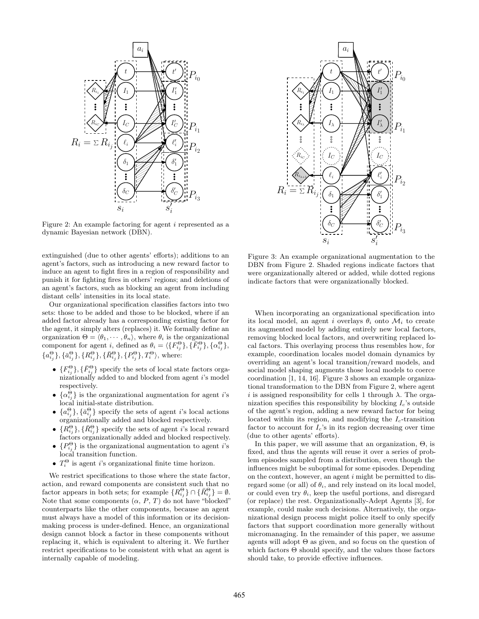

Figure 2: An example factoring for agent i represented as a dynamic Bayesian network (DBN).

extinguished (due to other agents' efforts); additions to an agent's factors, such as introducing a new reward factor to induce an agent to fight fires in a region of responsibility and punish it for fighting fires in others' regions; and deletions of an agent's factors, such as blocking an agent from including distant cells' intensities in its local state.

Our organizational specification classifies factors into two sets: those to be added and those to be blocked, where if an added factor already has a corresponding existing factor for the agent, it simply alters (replaces) it. We formally define an organization  $\Theta = \langle \theta_1, \cdots, \theta_n \rangle$ , where  $\theta_i$  is the organizational component for agent i, defined as  $\theta_i = \langle \{F_{i_j}^{\Theta}\}, \{\bar{F}_{i_j}^{\Theta}\}, \{\alpha_{i_j}^{\Theta}\},\{\alpha_{i_j}^{\Theta}\}\rangle$  ${a_{i_j}^{\Theta}}\}, {\bar{a}_{i_j}^{\Theta}}\}, {\lbrace R_{i_j}^{\Theta}\rbrace}, {\lbrace \bar{R}_{i_j}^{\Theta}\rbrace}, {\lbrace P_{i_j}^{\Theta}\rbrace}, T_i^{\Theta}\rangle,$  where:

- $\{F_{i_j}^{\Theta}\}, \{\bar{F}_{i_j}^{\Theta}\}\$  specify the sets of local state factors organizationally added to and blocked from agent  $i$ 's model respectively.
- $\{\alpha_{i_j}^{\Theta}\}\$ is the organizational augmentation for agent *i*'s local initial-state distribution.
- ${a_{i}^{\Theta}\}, {\bar{a}_{i}^{\Theta}\}$  specify the sets of agent *i*'s local actions organizationally added and blocked respectively.
- $\{R_{i_j}^{\Theta}\}, \{\bar{R}_{i_j}^{\Theta}\}\$  specify the sets of agent *i*'s local reward factors organizationally added and blocked respectively.
- $\{P_{i_j}^{\Theta}\}\$ is the organizational augmentation to agent *i*'s local transition function.
- $T_i^{\Theta}$  is agent *i*'s organizational finite time horizon.

We restrict specifications to those where the state factor, action, and reward components are consistent such that no factor appears in both sets; for example  $\{R_{i_j}^{\Theta}\}\cap\{\bar{R}_{i_j}^{\Theta}\}=\emptyset$ . Note that some components  $(\alpha, P, T)$  do not have "blocked" counterparts like the other components, because an agent must always have a model of this information or its decisionmaking process is under-defined. Hence, an organizational design cannot block a factor in these components without replacing it, which is equivalent to altering it. We further restrict specifications to be consistent with what an agent is internally capable of modeling.



Figure 3: An example organizational augmentation to the DBN from Figure 2. Shaded regions indicate factors that were organizationally altered or added, while dotted regions indicate factors that were organizationally blocked.

When incorporating an organizational specification into its local model, an agent i overlays  $\theta_i$  onto  $\mathcal{M}_i$  to create its augmented model by adding entirely new local factors, removing blocked local factors, and overwriting replaced local factors. This overlaying process thus resembles how, for example, coordination locales model domain dynamics by overriding an agent's local transition/reward models, and social model shaping augments those local models to coerce coordination [1, 14, 16]. Figure 3 shows an example organizational transformation to the DBN from Figure 2, where agent i is assigned responsibility for cells 1 through  $\lambda$ . The organization specifies this responsibility by blocking  $I_c$ 's outside of the agent's region, adding a new reward factor for being located within its region, and modifying the  $I_c$ -transition factor to account for  $I_c$ 's in its region decreasing over time (due to other agents' efforts).

In this paper, we will assume that an organization, Θ, is fixed, and thus the agents will reuse it over a series of problem episodes sampled from a distribution, even though the influences might be suboptimal for some episodes. Depending on the context, however, an agent  $i$  might be permitted to disregard some (or all) of  $\theta_i$ , and rely instead on its local model, or could even try  $\theta_i$ , keep the useful portions, and disregard (or replace) the rest. Organizationally-Adept Agents [3], for example, could make such decisions. Alternatively, the organizational design process might police itself to only specify factors that support coordination more generally without micromanaging. In the remainder of this paper, we assume agents will adopt  $\Theta$  as given, and so focus on the question of which factors  $\Theta$  should specify, and the values those factors should take, to provide effective influences.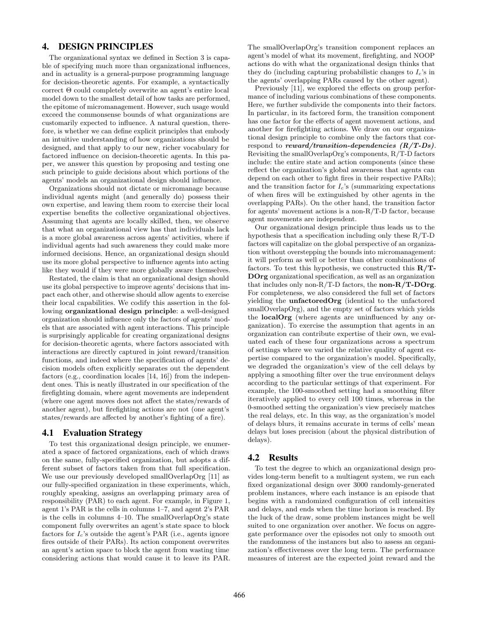# 4. DESIGN PRINCIPLES

The organizational syntax we defined in Section 3 is capable of specifying much more than organizational influences, and in actuality is a general-purpose programming language for decision-theoretic agents. For example, a syntactically correct Θ could completely overwrite an agent's entire local model down to the smallest detail of how tasks are performed, the epitome of micromanagement. However, such usage would exceed the commonsense bounds of what organizations are customarily expected to influence. A natural question, therefore, is whether we can define explicit principles that embody an intuitive understanding of how organizations should be designed, and that apply to our new, richer vocabulary for factored influence on decision-theoretic agents. In this paper, we answer this question by proposing and testing one such principle to guide decisions about which portions of the agents' models an organizational design should influence.

Organizations should not dictate or micromanage because individual agents might (and generally do) possess their own expertise, and leaving them room to exercise their local expertise benefits the collective organizational objectives. Assuming that agents are locally skilled, then, we observe that what an organizational view has that individuals lack is a more global awareness across agents' activities, where if individual agents had such awareness they could make more informed decisions. Hence, an organizational design should use its more global perspective to influence agents into acting like they would if they were more globally aware themselves.

Restated, the claim is that an organizational design should use its global perspective to improve agents' decisions that impact each other, and otherwise should allow agents to exercise their local capabilities. We codify this assertion in the following organizational design principle: a well-designed organization should influence only the factors of agents' models that are associated with agent interactions. This principle is surprisingly applicable for creating organizational designs for decision-theoretic agents, where factors associated with interactions are directly captured in joint reward/transition functions, and indeed where the specification of agents' decision models often explicitly separates out the dependent factors (e.g., coordination locales [14, 16]) from the independent ones. This is neatly illustrated in our specification of the firefighting domain, where agent movements are independent (where one agent moves does not affect the states/rewards of another agent), but firefighting actions are not (one agent's states/rewards are affected by another's fighting of a fire).

## 4.1 Evaluation Strategy

To test this organizational design principle, we enumerated a space of factored organizations, each of which draws on the same, fully-specified organization, but adopts a different subset of factors taken from that full specification. We use our previously developed smallOverlapOrg [11] as our fully-specified organization in these experiments, which, roughly speaking, assigns an overlapping primary area of responsibility (PAR) to each agent. For example, in Figure 1, agent 1's PAR is the cells in columns 1–7, and agent 2's PAR is the cells in columns 4–10. The smallOverlapOrg's state component fully overwrites an agent's state space to block factors for  $I_c$ 's outside the agent's PAR (i.e., agents ignore fires outside of their PARs). Its action component overwrites an agent's action space to block the agent from wasting time considering actions that would cause it to leave its PAR. The smallOverlapOrg's transition component replaces an agent's model of what its movement, firefighting, and NOOP actions do with what the organizational design thinks that they do (including capturing probabilistic changes to  $I_c$ 's in the agents' overlapping PARs caused by the other agent).

Previously [11], we explored the effects on group performance of including various combinations of these components. Here, we further subdivide the components into their factors. In particular, in its factored form, the transition component has one factor for the effects of agent movement actions, and another for firefighting actions. We draw on our organizational design principle to combine only the factors that correspond to reward/transition-dependencies  $(R/T-Ds)$ . Revisiting the smallOverlapOrg's components, R/T-D factors include: the entire state and action components (since these reflect the organization's global awareness that agents can depend on each other to fight fires in their respective PARs); and the transition factor for  $I_c$ 's (summarizing expectations of when fires will be extinguished by other agents in the overlapping PARs). On the other hand, the transition factor for agents' movement actions is a non-R/T-D factor, because agent movements are independent.

Our organizational design principle thus leads us to the hypothesis that a specification including only these R/T-D factors will capitalize on the global perspective of an organization without overstepping the bounds into micromanagement: it will perform as well or better than other combinations of factors. To test this hypothesis, we constructed this  $\mathbf{R}/\mathbf{T}$ -DOrg organizational specification, as well as an organization that includes only non- $R/T-D$  factors, the **non-** $R/T-DOrg$ . For completeness, we also considered the full set of factors yielding the unfactoredOrg (identical to the unfactored smallOverlapOrg), and the empty set of factors which yields the localOrg (where agents are uninfluenced by any organization). To exercise the assumption that agents in an organization can contribute expertise of their own, we evaluated each of these four organizations across a spectrum of settings where we varied the relative quality of agent expertise compared to the organization's model. Specifically, we degraded the organization's view of the cell delays by applying a smoothing filter over the true environment delays according to the particular settings of that experiment. For example, the 100-smoothed setting had a smoothing filter iteratively applied to every cell 100 times, whereas in the 0-smoothed setting the organization's view precisely matches the real delays, etc. In this way, as the organization's model of delays blurs, it remains accurate in terms of cells' mean delays but loses precision (about the physical distribution of delays).

#### 4.2 Results

To test the degree to which an organizational design provides long-term benefit to a multiagent system, we run each fixed organizational design over 3000 randomly-generated problem instances, where each instance is an episode that begins with a randomized configuration of cell intensities and delays, and ends when the time horizon is reached. By the luck of the draw, some problem instances might be well suited to one organization over another. We focus on aggregate performance over the episodes not only to smooth out the randomness of the instances but also to assess an organization's effectiveness over the long term. The performance measures of interest are the expected joint reward and the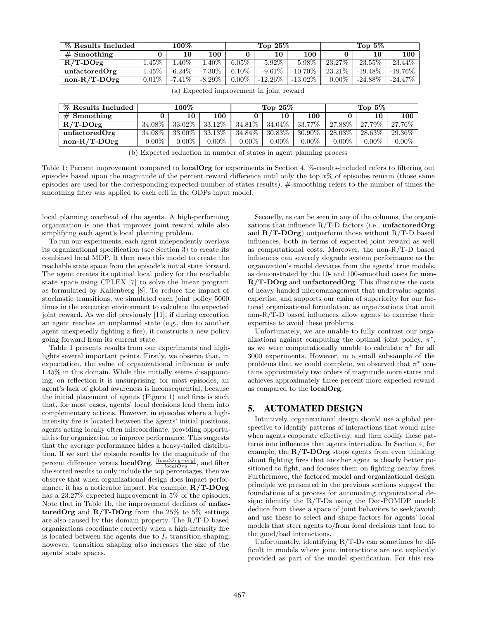| % Results Included | $100\%$  |           |            | Top $25\%$ |             |            | Top $5\%$ |            |            |
|--------------------|----------|-----------|------------|------------|-------------|------------|-----------|------------|------------|
| $#$ Smoothing      |          | 10        | 100        |            | 10          | 100        |           | 10         | 100        |
| $R/T$ -DOrg        | $.45\%$  | $.40\%$   | .40%       | $6.05\%$   | $5.92\%$    | $5.98\%$   | 23.27\%   | $23.55\%$  | $23.44\%$  |
| unfactoredOrg      | $1.45\%$ | $-6.24\%$ | -7.30%     | $6.10\%$   | $-9.61\%$   | $-10.70\%$ | 23.21\%   | $-19.48\%$ | $-19.76\%$ |
| $non-R/T-DOrg$     | $0.01\%$ | $-7.41\%$ | -8.29 $\%$ | $0.00\%$   | -12.26 $\%$ | $-13.02\%$ | $0.00\%$  | $-24.88\%$ | $-24.47\%$ |

| % Results Included | $100\%$  |          |          | Top $25\%$ |           |           | Top $5\%$ |           |          |
|--------------------|----------|----------|----------|------------|-----------|-----------|-----------|-----------|----------|
| $#$ Smoothing      |          | 10       | 100      |            | 10        | 100       |           | 10        | 100      |
| $R/T$ -DOrg        | 34.08%   | 33.02%   | 33.12\%  | 34.81\%    | $34.04\%$ | 33.77%    | 27.88%    | 27.79%    | 27.76\%  |
| unfactoredOrg      | 34.08%   | 33.00%   | 33.13%   | 34.84%     | $30.83\%$ | $30.90\%$ | 28.03%    | $28.63\%$ | 29.36\%  |
| $non-R/T-DOrg$     | $0.00\%$ | $0.00\%$ | $0.00\%$ | $0.00\%$   | $0.00\%$  | $0.00\%$  | $0.00\%$  | $0.00\%$  | $0.00\%$ |
|                    |          |          |          |            |           |           |           |           |          |

(a) Expected improvement in joint reward

local planning overhead of the agents. A high-performing organization is one that improves joint reward while also simplifying each agent's local planning problem.

To run our experiments, each agent independently overlays its organizational specification (see Section 3) to create its combined local MDP. It then uses this model to create the reachable state space from the episode's initial state forward. The agent creates its optimal local policy for the reachable state space using CPLEX [7] to solve the linear program as formulated by Kallenberg [8]. To reduce the impact of stochastic transitions, we simulated each joint policy 5000 times in the execution environment to calculate the expected joint reward. As we did previously [11], if during execution an agent reaches an unplanned state (e.g., due to another agent unexpetedly fighting a fire), it constructs a new policy going forward from its current state.

Table 1 presents results from our experiments and highlights several important points. Firstly, we observe that, in expectation, the value of organizational influence is only 1.45% in this domain. While this initially seems disappointing, on reflection it is unsurprising: for most episodes, an agent's lack of global awareness is inconsequential, because the initial placement of agents (Figure 1) and fires is such that, for most cases, agents' local decisions lead them into complementary actions. However, in episodes where a highintensity fire is located between the agents' initial positions, agents acting locally often miscoordinate, providing opportunities for organization to improve performance. This suggests that the average performance hides a heavy-tailed distribution. If we sort the episode results by the magnitude of the percent difference versus **localOrg**,  $\frac{|localOrg - org|}{localOrg}$ , and filter the sorted results to only include the top percentages, then we observe that when organizational design does impact performance, it has a noticeable impact. For example, R/T-DOrg has a 23.27% expected improvement in 5% of the episodes. Note that in Table 1b, the improvement declines of unfactoredOrg and  $R/T$ -DOrg from the 25% to 5% settings are also caused by this domain property. The R/T-D based organizations coordinate correctly when a high-intensity fire is located between the agents due to  $I_c$  transition shaping; however, transition shaping also increases the size of the agents' state spaces.

Secondly, as can be seen in any of the columns, the organizations that influence  $R/T-D$  factors (i.e., unfactored Org and  $R/T-DOrg$ ) outperform those without  $R/T-D$  based influences, both in terms of expected joint reward as well as computational costs. Moreover, the non-R/T-D based influences can severely degrade system performance as the organization's model deviates from the agents' true models, as demonstrated by the 10- and 100-smoothed cases for non-R/T-DOrg and unfactoredOrg. This illustrates the costs of heavy-handed micromanagement that undervalue agents' expertise, and supports our claim of superiority for our factored organizational formulation, as organizations that omit non-R/T-D based influences allow agents to exercise their expertise to avoid these problems.

Unfortunately, we are unable to fully contrast our organizations against computing the optimal joint policy,  $\pi^*$ , as we were computationally unable to calculate  $\pi^*$  for all 3000 experiments. However, in a small subsample of the problems that we could complete, we observed that  $\pi^*$  contains approximately two orders of magnitude more states and achieves approximately three percent more expected reward as compared to the localOrg.

# 5. AUTOMATED DESIGN

Intuitively, organizational design should use a global perspective to identify patterns of interactions that would arise when agents cooperate effectively, and then codify these patterns into influences that agents internalize. In Section 4, for example, the  $R/T$ -DOrg stops agents from even thinking about fighting fires that another agent is clearly better positioned to fight, and focuses them on fighting nearby fires. Furthermore, the factored model and organizational design principle we presented in the previous sections suggest the foundations of a process for automating organizational design: identify the R/T-Ds using the Dec-POMDP model; deduce from these a space of joint behaviors to seek/avoid; and use these to select and shape factors for agents' local models that steer agents to/from local decisions that lead to the good/bad interactions.

Unfortunately, identifying R/T-Ds can sometimes be difficult in models where joint interactions are not explicitly provided as part of the model specification. For this rea-

<sup>(</sup>b) Expected reduction in number of states in agent planning process

Table 1: Percent improvement compared to **localOrg** for experiments in Section 4. %-results-included refers to filtering out episodes based upon the magnitude of the percent reward difference until only the top  $x\%$  of episodes remain (those same episodes are used for the corresponding expected-number-of-states results). #-smoothing refers to the number of times the smoothing filter was applied to each cell in the ODPs input model.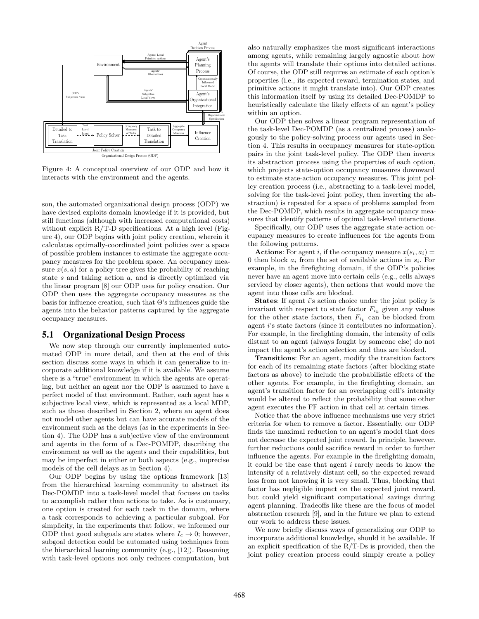

Figure 4: A conceptual overview of our ODP and how it interacts with the environment and the agents.

son, the automated organizational design process (ODP) we have devised exploits domain knowledge if it is provided, but still functions (although with increased computational costs) without explicit  $R/T-D$  specifications. At a high level (Figure 4), our ODP begins with joint policy creation, wherein it calculates optimally-coordinated joint policies over a space of possible problem instances to estimate the aggregate occupancy measures for the problem space. An occupancy measure  $x(s, a)$  for a policy tree gives the probability of reaching state s and taking action a, and is directly optimized via the linear program [8] our ODP uses for policy creation. Our ODP then uses the aggregate occupancy measures as the basis for influence creation, such that Θ's influences guide the agents into the behavior patterns captured by the aggregate occupancy measures.

## 5.1 Organizational Design Process

We now step through our currently implemented automated ODP in more detail, and then at the end of this section discuss some ways in which it can generalize to incorporate additional knowledge if it is available. We assume there is a "true" environment in which the agents are operating, but neither an agent nor the ODP is assumed to have a perfect model of that environment. Rather, each agent has a subjective local view, which is represented as a local MDP, such as those described in Section 2, where an agent does not model other agents but can have accurate models of the environment such as the delays (as in the experiments in Section 4). The ODP has a subjective view of the environment and agents in the form of a Dec-POMDP, describing the environment as well as the agents and their capabilities, but may be imperfect in either or both aspects (e.g., imprecise models of the cell delays as in Section 4).

Our ODP begins by using the options framework [13] from the hierarchical learning community to abstract its Dec-POMDP into a task-level model that focuses on tasks to accomplish rather than actions to take. As is customary, one option is created for each task in the domain, where a task corresponds to achieving a particular subgoal. For simplicity, in the experiments that follow, we informed our ODP that good subgoals are states where  $I_c \rightarrow 0$ ; however, subgoal detection could be automated using techniques from the hierarchical learning community (e.g., [12]). Reasoning with task-level options not only reduces computation, but

also naturally emphasizes the most significant interactions among agents, while remaining largely agnostic about how the agents will translate their options into detailed actions. Of course, the ODP still requires an estimate of each option's properties (i.e., its expected reward, termination states, and primitive actions it might translate into). Our ODP creates this information itself by using its detailed Dec-POMDP to heuristically calculate the likely effects of an agent's policy within an option.

Our ODP then solves a linear program representation of the task-level Dec-POMDP (as a centralized process) analogously to the policy-solving process our agents used in Section 4. This results in occupancy measures for state-option pairs in the joint task-level policy. The ODP then inverts its abstraction process using the properties of each option, which projects state-option occupancy measures downward to estimate state-action occupancy measures. This joint policy creation process (i.e., abstracting to a task-level model, solving for the task-level joint policy, then inverting the abstraction) is repeated for a space of problems sampled from the Dec-POMDP, which results in aggregate occupancy measures that identify patterns of optimal task-level interactions.

Specifically, our ODP uses the aggregate state-action occupancy measures to create influences for the agents from the following patterns.

**Actions:** For agent i, if the occupancy measure  $x(s_i, a_i)$  = 0 then block  $a_i$  from the set of available actions in  $s_i$ . For example, in the firefighting domain, if the ODP's policies never have an agent move into certain cells (e.g., cells always serviced by closer agents), then actions that would move the agent into those cells are blocked.

States: If agent i's action choice under the joint policy is invariant with respect to state factor  $F_{i_k}$  given any values for the other state factors, then  $F_{i_k}$  can be blocked from agent i's state factors (since it contributes no information). For example, in the firefighting domain, the intensity of cells distant to an agent (always fought by someone else) do not impact the agent's action selection and thus are blocked.

Transitions: For an agent, modify the transition factors for each of its remaining state factors (after blocking state factors as above) to include the probabilistic effects of the other agents. For example, in the firefighting domain, an agent's transition factor for an overlapping cell's intensity would be altered to reflect the probability that some other agent executes the FF action in that cell at certain times.

Notice that the above influence mechanisms use very strict criteria for when to remove a factor. Essentially, our ODP finds the maximal reduction to an agent's model that does not decrease the expected joint reward. In principle, however, further reductions could sacrifice reward in order to further influence the agents. For example in the firefighting domain, it could be the case that agent i rarely needs to know the intensity of a relatively distant cell, so the expected reward loss from not knowing it is very small. Thus, blocking that factor has negligible impact on the expected joint reward, but could yield significant computational savings during agent planning. Tradeoffs like these are the focus of model abstraction research [9], and in the future we plan to extend our work to address these issues.

We now briefly discuss ways of generalizing our ODP to incorporate additional knowledge, should it be available. If an explicit specification of the  $R/T$ -Ds is provided, then the joint policy creation process could simply create a policy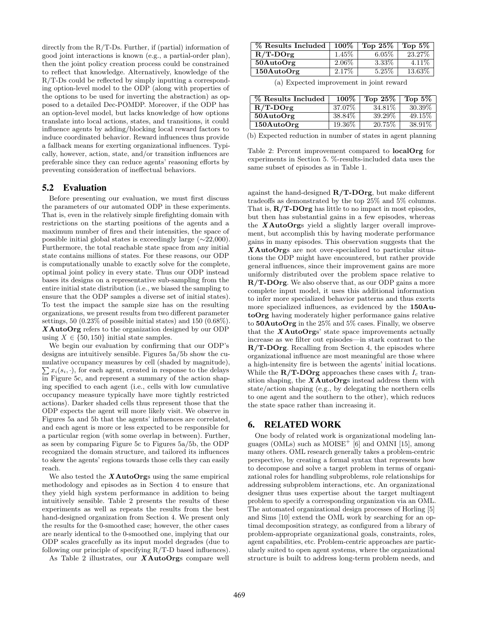directly from the R/T-Ds. Further, if (partial) information of good joint interactions is known (e.g., a partial-order plan), then the joint policy creation process could be constrained to reflect that knowledge. Alternatively, knowledge of the R/T-Ds could be reflected by simply inputting a corresponding option-level model to the ODP (along with properties of the options to be used for inverting the abstraction) as opposed to a detailed Dec-POMDP. Moreover, if the ODP has an option-level model, but lacks knowledge of how options translate into local actions, states, and transitions, it could influence agents by adding/blocking local reward factors to induce coordinated behavior. Reward influences thus provide a fallback means for exerting organizational influences. Typically, however, action, state, and/or transition influences are preferable since they can reduce agents' reasoning efforts by preventing consideration of ineffectual behaviors.

#### 5.2 Evaluation

Before presenting our evaluation, we must first discuss the parameters of our automated ODP in these experiments. That is, even in the relatively simple firefighting domain with restrictions on the starting positions of the agents and a maximum number of fires and their intensities, the space of possible initial global states is exceedingly large  $(\sim 22,000)$ . Furthermore, the total reachable state space from any initial state contains millions of states. For these reasons, our ODP is computationally unable to exactly solve for the complete, optimal joint policy in every state. Thus our ODP instead bases its designs on a representative sub-sampling from the entire initial state distribution (i.e., we biased the sampling to ensure that the ODP samples a diverse set of initial states). To test the impact the sample size has on the resulting organizations, we present results from two different parameter settings, 50 (0.23% of possible initial states) and 150 (0.68%). X AutoOrg refers to the organization designed by our ODP using  $X \in \{50, 150\}$  initial state samples.

We begin our evaluation by confirming that our ODP's designs are intuitively sensible. Figures 5a/5b show the cumulative occupancy measures by cell (shaded by magnitude),  $\sum x_i(s_i, \cdot)$ , for each agent, created in response to the delays in Figure 5c, and represent a summary of the action shaping specified to each agent (i.e., cells with low cumulative occupancy measure typically have more tightly restricted actions). Darker shaded cells thus represent those that the ODP expects the agent will more likely visit. We observe in Figures 5a and 5b that the agents' influences are correlated, and each agent is more or less expected to be responsible for a particular region (with some overlap in between). Further, as seen by comparing Figure 5c to Figures 5a/5b, the ODP recognized the domain structure, and tailored its influences to skew the agents' regions towards those cells they can easily reach.

We also tested the  $X \text{AutoOrgs}$  using the same empirical methodology and episodes as in Section 4 to ensure that they yield high system performance in addition to being intuitively sensible. Table 2 presents the results of these experiments as well as repeats the results from the best hand-designed organization from Section 4. We present only the results for the 0-smoothed case; however, the other cases are nearly identical to the 0-smoothed one, implying that our ODP scales gracefully as its input model degrades (due to following our principle of specifying R/T-D based influences).

As Table 2 illustrates, our  $X$ AutoOrgs compare well

| % Results Included   | $100\%$  | Top $25\%$ | Top $5\%$ |
|----------------------|----------|------------|-----------|
| $R/T$ -DOrg          | $1.45\%$ | $6.05\%$   | 23.27%    |
| $50$ AutoOrg         | 2.06\%   | 3.33%      | $4.11\%$  |
| $150 \text{AutoOrg}$ | 2.17%    | 5.25\%     | 13.63%    |

(a) Expected improvement in joint reward

| % Results Included | $100\%$ | Top $25\%$ | Top $5\%$ |
|--------------------|---------|------------|-----------|
| $R/T$ -DOrg        | 37.07%  | 34.81\%    | 30.39\%   |
| $50$ AutoOrg       | 38.84\% | 39.29%     | 49.15\%   |
| 150AutoOrg         | 19.36\% | 20.75%     | 38.91\%   |

(b) Expected reduction in number of states in agent planning

Table 2: Percent improvement compared to localOrg for experiments in Section 5. %-results-included data uses the same subset of episodes as in Table 1.

against the hand-designed R/T-DOrg, but make different tradeoffs as demonstrated by the top 25% and 5% columns. That is,  $\mathbf{R}/\mathbf{T}\text{-}\mathbf{D}\mathbf{O}\mathbf{r}\mathbf{g}$  has little to no impact in most episodes, but then has substantial gains in a few episodes, whereas the  $X \text{AutoOrgs}$  yield a slightly larger overall improvement, but accomplish this by having moderate performance gains in many episodes. This observation suggests that the X AutoOrgs are not over-specialized to particular situations the ODP might have encountered, but rather provide general influences, since their improvement gains are more uniformly distributed over the problem space relative to R/T-DOrg. We also observe that, as our ODP gains a more complete input model, it uses this additional information to infer more specialized behavior patterns and thus exerts more specialized influences, as evidenced by the 150AutoOrg having moderately higher performance gains relative to 50AutoOrg in the 25% and 5% cases. Finally, we observe that the  $X$ AutoOrgs' state space improvements actually increase as we filter out episodes—in stark contrast to the R/T-DOrg. Recalling from Section 4, the episodes where organizational influence are most meaningful are those where a high-intensity fire is between the agents' initial locations. While the  $\mathbf{R}/\mathbf{T}\text{-}\mathbf{D}\mathbf{O}\mathbf{r}\mathbf{g}$  approaches these cases with  $I_c$  transition shaping, the  $XAutoOrgs$  instead address them with state/action shaping (e.g., by delegating the northern cells to one agent and the southern to the other), which reduces the state space rather than increasing it.

## 6. RELATED WORK

One body of related work is organizational modeling languages (OMLs) such as  $MOISE<sup>+</sup>$  [6] and OMNI [15], among many others. OML research generally takes a problem-centric perspective, by creating a formal syntax that represents how to decompose and solve a target problem in terms of organizational roles for handling subproblems, role relationships for addressing subproblem interactions, etc. An organizational designer thus uses expertise about the target multiagent problem to specify a corresponding organization via an OML. The automated organizational design processes of Horling [5] and Sims [10] extend the OML work by searching for an optimal decomposition strategy, as configured from a library of problem-appropriate organizational goals, constraints, roles, agent capabilities, etc. Problem-centric approaches are particularly suited to open agent systems, where the organizational structure is built to address long-term problem needs, and